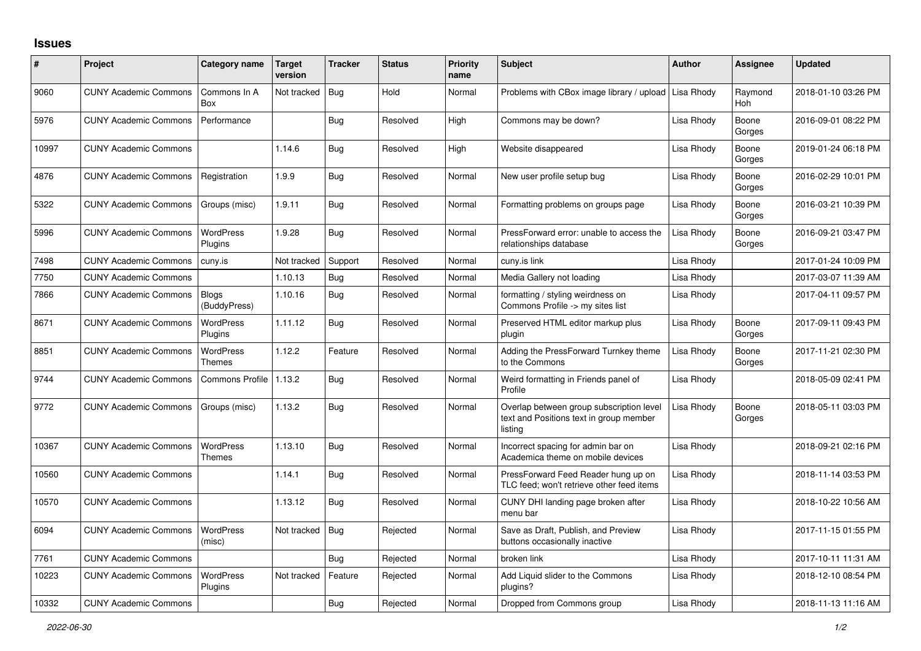## **Issues**

| ∦     | Project                      | Category name                     | Target<br>version | <b>Tracker</b> | <b>Status</b> | Priority<br>name | <b>Subject</b>                                                                                 | <b>Author</b> | <b>Assignee</b>       | <b>Updated</b>      |
|-------|------------------------------|-----------------------------------|-------------------|----------------|---------------|------------------|------------------------------------------------------------------------------------------------|---------------|-----------------------|---------------------|
| 9060  | <b>CUNY Academic Commons</b> | Commons In A<br>Box               | Not tracked       | Bug            | Hold          | Normal           | Problems with CBox image library / upload                                                      | Lisa Rhody    | Raymond<br><b>Hoh</b> | 2018-01-10 03:26 PM |
| 5976  | <b>CUNY Academic Commons</b> | Performance                       |                   | Bug            | Resolved      | High             | Commons may be down?                                                                           | Lisa Rhody    | Boone<br>Gorges       | 2016-09-01 08:22 PM |
| 10997 | <b>CUNY Academic Commons</b> |                                   | 1.14.6            | Bug            | Resolved      | High             | Website disappeared                                                                            | Lisa Rhody    | Boone<br>Gorges       | 2019-01-24 06:18 PM |
| 4876  | <b>CUNY Academic Commons</b> | Registration                      | 1.9.9             | Bug            | Resolved      | Normal           | New user profile setup bug                                                                     | Lisa Rhody    | Boone<br>Gorges       | 2016-02-29 10:01 PM |
| 5322  | <b>CUNY Academic Commons</b> | Groups (misc)                     | 1.9.11            | Bug            | Resolved      | Normal           | Formatting problems on groups page                                                             | Lisa Rhody    | Boone<br>Gorges       | 2016-03-21 10:39 PM |
| 5996  | <b>CUNY Academic Commons</b> | <b>WordPress</b><br>Plugins       | 1.9.28            | Bug            | Resolved      | Normal           | PressForward error: unable to access the<br>relationships database                             | Lisa Rhody    | Boone<br>Gorges       | 2016-09-21 03:47 PM |
| 7498  | <b>CUNY Academic Commons</b> | cuny.is                           | Not tracked       | Support        | Resolved      | Normal           | cuny.is link                                                                                   | Lisa Rhody    |                       | 2017-01-24 10:09 PM |
| 7750  | <b>CUNY Academic Commons</b> |                                   | 1.10.13           | Bug            | Resolved      | Normal           | Media Gallery not loading                                                                      | Lisa Rhody    |                       | 2017-03-07 11:39 AM |
| 7866  | <b>CUNY Academic Commons</b> | <b>Blogs</b><br>(BuddyPress)      | 1.10.16           | <b>Bug</b>     | Resolved      | Normal           | formatting / styling weirdness on<br>Commons Profile -> my sites list                          | Lisa Rhody    |                       | 2017-04-11 09:57 PM |
| 8671  | <b>CUNY Academic Commons</b> | <b>WordPress</b><br>Plugins       | 1.11.12           | <b>Bug</b>     | Resolved      | Normal           | Preserved HTML editor markup plus<br>plugin                                                    | Lisa Rhody    | Boone<br>Gorges       | 2017-09-11 09:43 PM |
| 8851  | <b>CUNY Academic Commons</b> | <b>WordPress</b><br>Themes        | 1.12.2            | Feature        | Resolved      | Normal           | Adding the PressForward Turnkey theme<br>to the Commons                                        | Lisa Rhody    | Boone<br>Gorges       | 2017-11-21 02:30 PM |
| 9744  | <b>CUNY Academic Commons</b> | <b>Commons Profile</b>            | 1.13.2            | <b>Bug</b>     | Resolved      | Normal           | Weird formatting in Friends panel of<br>Profile                                                | Lisa Rhody    |                       | 2018-05-09 02:41 PM |
| 9772  | <b>CUNY Academic Commons</b> | Groups (misc)                     | 1.13.2            | Bug            | Resolved      | Normal           | Overlap between group subscription level<br>text and Positions text in group member<br>listing | Lisa Rhody    | Boone<br>Gorges       | 2018-05-11 03:03 PM |
| 10367 | <b>CUNY Academic Commons</b> | <b>WordPress</b><br><b>Themes</b> | 1.13.10           | Bug            | Resolved      | Normal           | Incorrect spacing for admin bar on<br>Academica theme on mobile devices                        | Lisa Rhody    |                       | 2018-09-21 02:16 PM |
| 10560 | <b>CUNY Academic Commons</b> |                                   | 1.14.1            | <b>Bug</b>     | Resolved      | Normal           | PressForward Feed Reader hung up on<br>TLC feed; won't retrieve other feed items               | Lisa Rhody    |                       | 2018-11-14 03:53 PM |
| 10570 | <b>CUNY Academic Commons</b> |                                   | 1.13.12           | <b>Bug</b>     | Resolved      | Normal           | CUNY DHI landing page broken after<br>menu bar                                                 | Lisa Rhody    |                       | 2018-10-22 10:56 AM |
| 6094  | <b>CUNY Academic Commons</b> | <b>WordPress</b><br>(misc)        | Not tracked       | <b>Bug</b>     | Rejected      | Normal           | Save as Draft, Publish, and Preview<br>buttons occasionally inactive                           | Lisa Rhody    |                       | 2017-11-15 01:55 PM |
| 7761  | <b>CUNY Academic Commons</b> |                                   |                   | Bug            | Rejected      | Normal           | broken link                                                                                    | Lisa Rhody    |                       | 2017-10-11 11:31 AM |
| 10223 | <b>CUNY Academic Commons</b> | <b>WordPress</b><br>Plugins       | Not tracked       | Feature        | Rejected      | Normal           | Add Liquid slider to the Commons<br>plugins?                                                   | Lisa Rhody    |                       | 2018-12-10 08:54 PM |
| 10332 | <b>CUNY Academic Commons</b> |                                   |                   | Bug            | Rejected      | Normal           | Dropped from Commons group                                                                     | Lisa Rhody    |                       | 2018-11-13 11:16 AM |